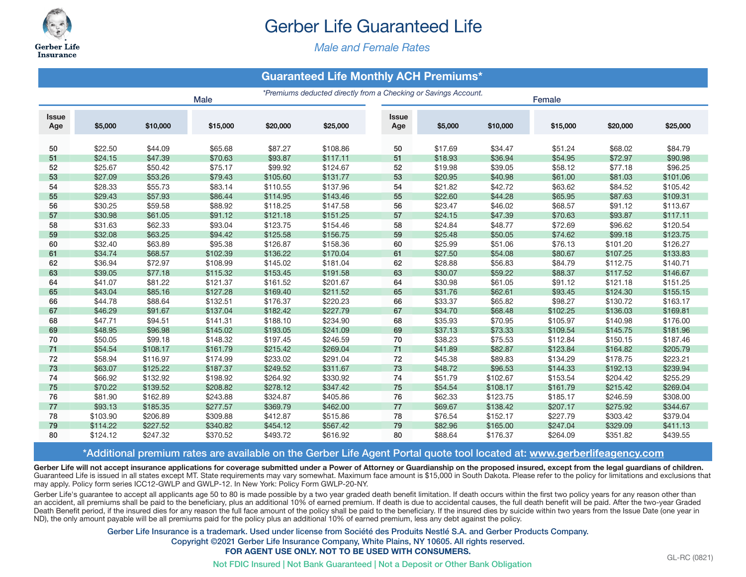

# Gerber Life Guaranteed Life

*Male and Female Rates*

## **Guaranteed Life Monthly ACH Premiums\***

|                     |          |          | <b>Male</b> | *Premiums deducted directly from a Checking or Savings Account.<br>Female |                      |                     |         |          |          |                    |          |
|---------------------|----------|----------|-------------|---------------------------------------------------------------------------|----------------------|---------------------|---------|----------|----------|--------------------|----------|
| <b>Issue</b><br>Age | \$5,000  | \$10,000 | \$15,000    | \$20,000                                                                  | \$25,000             | <b>Issue</b><br>Age | \$5,000 | \$10,000 | \$15,000 | \$20,000           | \$25,000 |
|                     | \$22.50  | \$44.09  | \$65.68     | \$87.27                                                                   |                      |                     | \$17.69 | \$34.47  | \$51.24  |                    | \$84.79  |
| 50<br>51            | \$24.15  | \$47.39  | \$70.63     | \$93.87                                                                   | \$108.86<br>\$117.11 | 50<br>51            | \$18.93 | \$36.94  | \$54.95  | \$68.02<br>\$72.97 | \$90.98  |
| 52                  | \$25.67  | \$50.42  | \$75.17     | \$99.92                                                                   | \$124.67             | 52                  | \$19.98 | \$39.05  | \$58.12  | \$77.18            | \$96.25  |
| 53                  | \$27.09  | \$53.26  | \$79.43     | \$105.60                                                                  | \$131.77             | 53                  | \$20.95 | \$40.98  | \$61.00  | \$81.03            | \$101.06 |
| 54                  | \$28.33  | \$55.73  | \$83.14     | \$110.55                                                                  | \$137.96             | 54                  | \$21.82 | \$42.72  | \$63.62  | \$84.52            | \$105.42 |
| 55                  | \$29.43  | \$57.93  | \$86.44     | \$114.95                                                                  | \$143.46             | 55                  | \$22.60 | \$44.28  | \$65.95  | \$87.63            | \$109.31 |
| 56                  | \$30.25  | \$59.58  | \$88.92     | \$118.25                                                                  | \$147.58             | 56                  | \$23.47 | \$46.02  | \$68.57  | \$91.12            | \$113.67 |
| 57                  | \$30.98  | \$61.05  | \$91.12     | \$121.18                                                                  | \$151.25             | 57                  | \$24.15 | \$47.39  | \$70.63  | \$93.87            | \$117.11 |
| 58                  | \$31.63  | \$62.33  | \$93.04     | \$123.75                                                                  | \$154.46             | 58                  | \$24.84 | \$48.77  | \$72.69  | \$96.62            | \$120.54 |
| 59                  | \$32.08  | \$63.25  | \$94.42     | \$125.58                                                                  | \$156.75             | 59                  | \$25.48 | \$50.05  | \$74.62  | \$99.18            | \$123.75 |
| 60                  | \$32.40  | \$63.89  | \$95.38     | \$126.87                                                                  | \$158.36             | 60                  | \$25.99 | \$51.06  | \$76.13  | \$101.20           | \$126.27 |
| 61                  | \$34.74  | \$68.57  | \$102.39    | \$136.22                                                                  | \$170.04             | 61                  | \$27.50 | \$54.08  | \$80.67  | \$107.25           | \$133.83 |
| 62                  | \$36.94  | \$72.97  | \$108.99    | \$145.02                                                                  | \$181.04             | 62                  | \$28.88 | \$56.83  | \$84.79  | \$112.75           | \$140.71 |
| 63                  | \$39.05  | \$77.18  | \$115.32    | \$153.45                                                                  | \$191.58             | 63                  | \$30.07 | \$59.22  | \$88.37  | \$117.52           | \$146.67 |
| 64                  | \$41.07  | \$81.22  | \$121.37    | \$161.52                                                                  | \$201.67             | 64                  | \$30.98 | \$61.05  | \$91.12  | \$121.18           | \$151.25 |
| 65                  | \$43.04  | \$85.16  | \$127.28    | \$169.40                                                                  | \$211.52             | 65                  | \$31.76 | \$62.61  | \$93.45  | \$124.30           | \$155.15 |
| 66                  | \$44.78  | \$88.64  | \$132.51    | \$176.37                                                                  | \$220.23             | 66                  | \$33.37 | \$65.82  | \$98.27  | \$130.72           | \$163.17 |
| 67                  | \$46.29  | \$91.67  | \$137.04    | \$182.42                                                                  | \$227.79             | 67                  | \$34.70 | \$68.48  | \$102.25 | \$136.03           | \$169.81 |
| 68                  | \$47.71  | \$94.51  | \$141.31    | \$188.10                                                                  | \$234.90             | 68                  | \$35.93 | \$70.95  | \$105.97 | \$140.98           | \$176.00 |
| 69                  | \$48.95  | \$96.98  | \$145.02    | \$193.05                                                                  | \$241.09             | 69                  | \$37.13 | \$73.33  | \$109.54 | \$145.75           | \$181.96 |
| 70                  | \$50.05  | \$99.18  | \$148.32    | \$197.45                                                                  | \$246.59             | 70                  | \$38.23 | \$75.53  | \$112.84 | \$150.15           | \$187.46 |
| 71                  | \$54.54  | \$108.17 | \$161.79    | \$215.42                                                                  | \$269.04             | 71                  | \$41.89 | \$82.87  | \$123.84 | \$164.82           | \$205.79 |
| 72                  | \$58.94  | \$116.97 | \$174.99    | \$233.02                                                                  | \$291.04             | 72                  | \$45.38 | \$89.83  | \$134.29 | \$178.75           | \$223.21 |
| 73                  | \$63.07  | \$125.22 | \$187.37    | \$249.52                                                                  | \$311.67             | 73                  | \$48.72 | \$96.53  | \$144.33 | \$192.13           | \$239.94 |
| 74                  | \$66.92  | \$132.92 | \$198.92    | \$264.92                                                                  | \$330.92             | 74                  | \$51.79 | \$102.67 | \$153.54 | \$204.42           | \$255.29 |
| 75                  | \$70.22  | \$139.52 | \$208.82    | \$278.12                                                                  | \$347.42             | 75                  | \$54.54 | \$108.17 | \$161.79 | \$215.42           | \$269.04 |
| 76                  | \$81.90  | \$162.89 | \$243.88    | \$324.87                                                                  | \$405.86             | 76                  | \$62.33 | \$123.75 | \$185.17 | \$246.59           | \$308.00 |
| 77                  | \$93.13  | \$185.35 | \$277.57    | \$369.79                                                                  | \$462.00             | 77                  | \$69.67 | \$138.42 | \$207.17 | \$275.92           | \$344.67 |
| 78                  | \$103.90 | \$206.89 | \$309.88    | \$412.87                                                                  | \$515.86             | 78                  | \$76.54 | \$152.17 | \$227.79 | \$303.42           | \$379.04 |
| 79                  | \$114.22 | \$227.52 | \$340.82    | \$454.12                                                                  | \$567.42             | 79                  | \$82.96 | \$165.00 | \$247.04 | \$329.09           | \$411.13 |
| 80                  | \$124.12 | \$247.32 | \$370.52    | \$493.72                                                                  | \$616.92             | 80                  | \$88.64 | \$176.37 | \$264.09 | \$351.82           | \$439.55 |

#### \*Additional premium rates are available on the Gerber Life Agent Portal quote tool located at: **www.gerberlifeagency.com**

Gerber Life will not accept insurance applications for coverage submitted under a Power of Attorney or Guardianship on the proposed insured, except from the legal guardians of children. Guaranteed Life is issued in all states except MT. State requirements may vary somewhat. Maximum face amount is \$15,000 in South Dakota. Please refer to the policy for limitations and exclusions that may apply. Policy form series ICC12-GWLP and GWLP-12. In New York: Policy Form GWLP-20-NY.

Gerber Life's guarantee to accept all applicants age 50 to 80 is made possible by a two year graded death benefit limitation. If death occurs within the first two policy years for any reason other than an accident, all premiums shall be paid to the beneficiary, plus an additional 10% of earned premium. If death is due to accidental causes, the full death benefit will be paid. After the two-year Graded Death Benefit period, if the insured dies for any reason the full face amount of the policy shall be paid to the beneficiary. If the insured dies by suicide within two years from the Issue Date (one year in ND), the only amount payable will be all premiums paid for the policy plus an additional 10% of earned premium, less any debt against the policy.

> Gerber Life Insurance is a trademark. Used under license from Société des Produits Nestlé S.A. and Gerber Products Company. Copyright ©2021 Gerber Life Insurance Company, White Plains, NY 10605. All rights reserved. **FOR AGENT USE ONLY. NOT TO BE USED WITH CONSUMERS.**

> > Not FDIC Insured | Not Bank Guaranteed | Not a Deposit or Other Bank Obligation